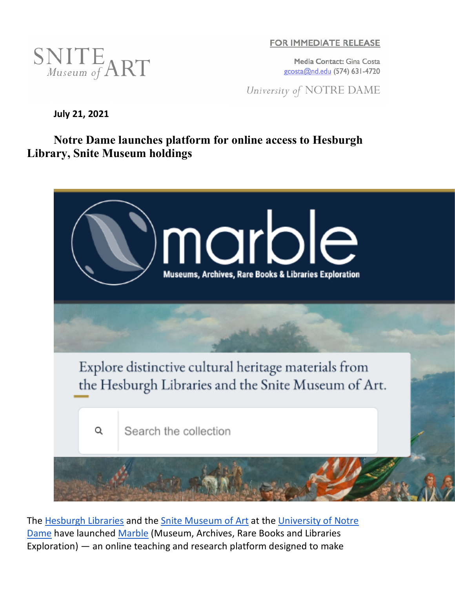

**FOR IMMEDIATE RELEASE** 

Media Contact: Gina Costa gcosta@nd.edu (574) 631-4720

University of NOTRE DAME

**July 21, 2021**

**Notre Dame launches platform for online access to Hesburgh Library, Snite Museum holdings**



The Hesburgh Libraries and the Snite Museum of Art at the University of Notre Dame have launched Marble (Museum, Archives, Rare Books and Libraries Exploration) — an online teaching and research platform designed to make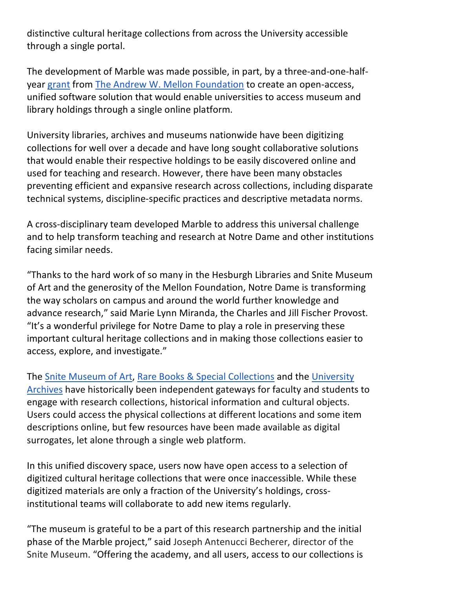distinctive cultural heritage collections from across the University accessible through a single portal.

The development of Marble was made possible, in part, by a three-and-one-halfyear grant from The Andrew W. Mellon Foundation to create an open-access, unified software solution that would enable universities to access museum and library holdings through a single online platform.

University libraries, archives and museums nationwide have been digitizing collections for well over a decade and have long sought collaborative solutions that would enable their respective holdings to be easily discovered online and used for teaching and research. However, there have been many obstacles preventing efficient and expansive research across collections, including disparate technical systems, discipline-specific practices and descriptive metadata norms.

A cross-disciplinary team developed Marble to address this universal challenge and to help transform teaching and research at Notre Dame and other institutions facing similar needs.

"Thanks to the hard work of so many in the Hesburgh Libraries and Snite Museum of Art and the generosity of the Mellon Foundation, Notre Dame is transforming the way scholars on campus and around the world further knowledge and advance research," said Marie Lynn Miranda, the Charles and Jill Fischer Provost. "It's a wonderful privilege for Notre Dame to play a role in preserving these important cultural heritage collections and in making those collections easier to access, explore, and investigate."

The Snite Museum of Art, Rare Books & Special Collections and the University Archives have historically been independent gateways for faculty and students to engage with research collections, historical information and cultural objects. Users could access the physical collections at different locations and some item descriptions online, but few resources have been made available as digital surrogates, let alone through a single web platform.

In this unified discovery space, users now have open access to a selection of digitized cultural heritage collections that were once inaccessible. While these digitized materials are only a fraction of the University's holdings, crossinstitutional teams will collaborate to add new items regularly.

"The museum is grateful to be a part of this research partnership and the initial phase of the Marble project," said Joseph Antenucci Becherer, director of the Snite Museum. "Offering the academy, and all users, access to our collections is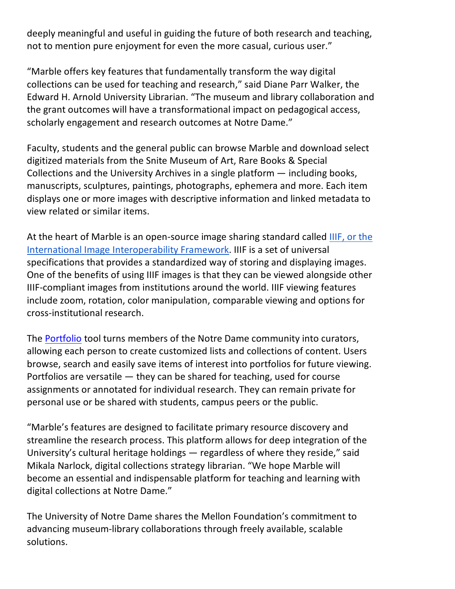deeply meaningful and useful in guiding the future of both research and teaching, not to mention pure enjoyment for even the more casual, curious user."

"Marble offers key features that fundamentally transform the way digital collections can be used for teaching and research," said Diane Parr Walker, the Edward H. Arnold University Librarian. "The museum and library collaboration and the grant outcomes will have a transformational impact on pedagogical access, scholarly engagement and research outcomes at Notre Dame."

Faculty, students and the general public can browse Marble and download select digitized materials from the Snite Museum of Art, Rare Books & Special Collections and the University Archives in a single platform — including books, manuscripts, sculptures, paintings, photographs, ephemera and more. Each item displays one or more images with descriptive information and linked metadata to view related or similar items.

At the heart of Marble is an open-source image sharing standard called IIIF, or the International Image Interoperability Framework. IIIF is a set of universal specifications that provides a standardized way of storing and displaying images. One of the benefits of using IIIF images is that they can be viewed alongside other IIIF-compliant images from institutions around the world. IIIF viewing features include zoom, rotation, color manipulation, comparable viewing and options for cross-institutional research.

The Portfolio tool turns members of the Notre Dame community into curators, allowing each person to create customized lists and collections of content. Users browse, search and easily save items of interest into portfolios for future viewing. Portfolios are versatile — they can be shared for teaching, used for course assignments or annotated for individual research. They can remain private for personal use or be shared with students, campus peers or the public.

"Marble's features are designed to facilitate primary resource discovery and streamline the research process. This platform allows for deep integration of the University's cultural heritage holdings — regardless of where they reside," said Mikala Narlock, digital collections strategy librarian. "We hope Marble will become an essential and indispensable platform for teaching and learning with digital collections at Notre Dame."

The University of Notre Dame shares the Mellon Foundation's commitment to advancing museum-library collaborations through freely available, scalable solutions.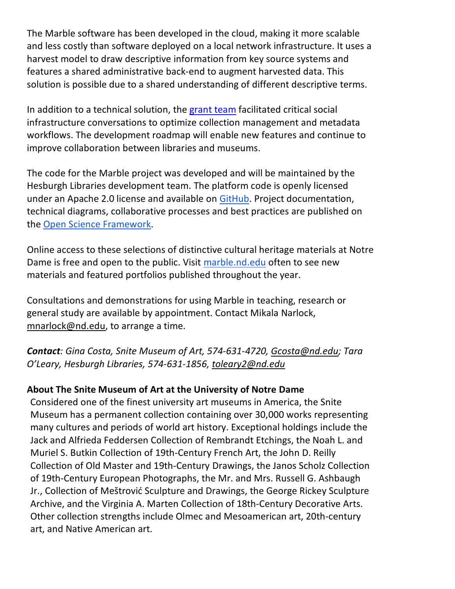The Marble software has been developed in the cloud, making it more scalable and less costly than software deployed on a local network infrastructure. It uses a harvest model to draw descriptive information from key source systems and features a shared administrative back-end to augment harvested data. This solution is possible due to a shared understanding of different descriptive terms.

In addition to a technical solution, the grant team facilitated critical social infrastructure conversations to optimize collection management and metadata workflows. The development roadmap will enable new features and continue to improve collaboration between libraries and museums.

The code for the Marble project was developed and will be maintained by the Hesburgh Libraries development team. The platform code is openly licensed under an Apache 2.0 license and available on GitHub. Project documentation, technical diagrams, collaborative processes and best practices are published on the Open Science Framework.

Online access to these selections of distinctive cultural heritage materials at Notre Dame is free and open to the public. Visit marble.nd.edu often to see new materials and featured portfolios published throughout the year.

Consultations and demonstrations for using Marble in teaching, research or general study are available by appointment. Contact Mikala Narlock, mnarlock@nd.edu, to arrange a time.

*Contact: Gina Costa, Snite Museum of Art, 574-631-4720, Gcosta@nd.edu; Tara O'Leary, Hesburgh Libraries, 574-631-1856, toleary2@nd.edu*

## **About The Snite Museum of Art at the University of Notre Dame**

Considered one of the finest university art museums in America, the Snite Museum has a permanent collection containing over 30,000 works representing many cultures and periods of world art history. Exceptional holdings include the Jack and Alfrieda Feddersen Collection of Rembrandt Etchings, the Noah L. and Muriel S. Butkin Collection of 19th-Century French Art, the John D. Reilly Collection of Old Master and 19th-Century Drawings, the Janos Scholz Collection of 19th-Century European Photographs, the Mr. and Mrs. Russell G. Ashbaugh Jr., Collection of Meštrović Sculpture and Drawings, the George Rickey Sculpture Archive, and the Virginia A. Marten Collection of 18th-Century Decorative Arts. Other collection strengths include Olmec and Mesoamerican art, 20th-century art, and Native American art.